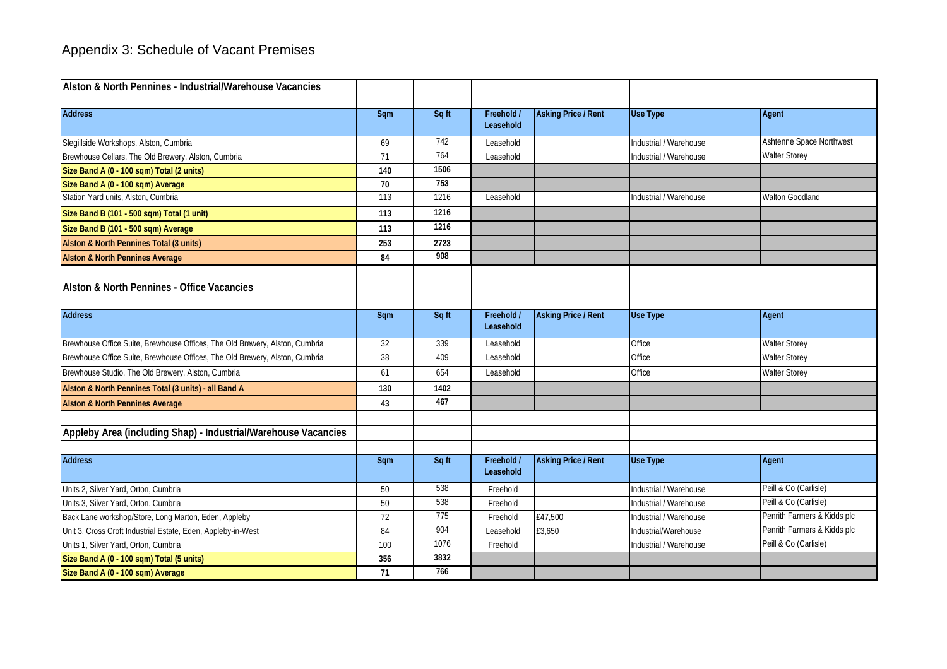| Alston & North Pennines - Industrial/Warehouse Vacancies                    |                 |       |                         |                            |                        |                             |
|-----------------------------------------------------------------------------|-----------------|-------|-------------------------|----------------------------|------------------------|-----------------------------|
|                                                                             |                 |       |                         |                            |                        |                             |
| <b>Address</b>                                                              | Sqm             | Sq ft | Freehold /<br>Leasehold | <b>Asking Price / Rent</b> | <b>Use Type</b>        | Agent                       |
| Slegillside Workshops, Alston, Cumbria                                      | 69              | 742   | Leasehold               |                            | Industrial / Warehouse | Ashtenne Space Northwest    |
| Brewhouse Cellars, The Old Brewery, Alston, Cumbria                         | 71              | 764   | Leasehold               |                            | Industrial / Warehouse | <b>Walter Storey</b>        |
| Size Band A (0 - 100 sqm) Total (2 units)                                   | 140             | 1506  |                         |                            |                        |                             |
| Size Band A (0 - 100 sqm) Average                                           | 70              | 753   |                         |                            |                        |                             |
| Station Yard units, Alston, Cumbria                                         | 113             | 1216  | Leasehold               |                            | Industrial / Warehouse | <b>Walton Goodland</b>      |
| Size Band B (101 - 500 sqm) Total (1 unit)                                  | 113             | 1216  |                         |                            |                        |                             |
| Size Band B (101 - 500 sqm) Average                                         | 113             | 1216  |                         |                            |                        |                             |
| Alston & North Pennines Total (3 units)                                     | 253             | 2723  |                         |                            |                        |                             |
| <b>Alston &amp; North Pennines Average</b>                                  | 84              | 908   |                         |                            |                        |                             |
|                                                                             |                 |       |                         |                            |                        |                             |
| Alston & North Pennines - Office Vacancies                                  |                 |       |                         |                            |                        |                             |
|                                                                             |                 |       |                         |                            |                        |                             |
| <b>Address</b>                                                              | Sqm             | Sq ft | Freehold /<br>Leasehold | <b>Asking Price / Rent</b> | <b>Use Type</b>        | Agent                       |
| Brewhouse Office Suite, Brewhouse Offices, The Old Brewery, Alston, Cumbria | 32              | 339   | Leasehold               |                            | Office                 | <b>Walter Storey</b>        |
| Brewhouse Office Suite, Brewhouse Offices, The Old Brewery, Alston, Cumbria | $\overline{38}$ | 409   | Leasehold               |                            | Office                 | <b>Walter Storey</b>        |
| Brewhouse Studio, The Old Brewery, Alston, Cumbria                          | 61              | 654   | Leasehold               |                            | Office                 | <b>Walter Storey</b>        |
| Alston & North Pennines Total (3 units) - all Band A                        | 130             | 1402  |                         |                            |                        |                             |
| <b>Alston &amp; North Pennines Average</b>                                  | 43              | 467   |                         |                            |                        |                             |
|                                                                             |                 |       |                         |                            |                        |                             |
| Appleby Area (including Shap) - Industrial/Warehouse Vacancies              |                 |       |                         |                            |                        |                             |
|                                                                             |                 |       |                         |                            |                        |                             |
| <b>Address</b>                                                              | Sqm             | Sq ft | Freehold /<br>Leasehold | <b>Asking Price / Rent</b> | <b>Use Type</b>        | Agent                       |
| Units 2, Silver Yard, Orton, Cumbria                                        | 50              | 538   | Freehold                |                            | Industrial / Warehouse | Peill & Co (Carlisle)       |
| Units 3, Silver Yard, Orton, Cumbria                                        | 50              | 538   | Freehold                |                            | Industrial / Warehouse | Peill & Co (Carlisle)       |
| Back Lane workshop/Store, Long Marton, Eden, Appleby                        | 72              | 775   | Freehold                | £47,500                    | Industrial / Warehouse | Penrith Farmers & Kidds plc |
| Unit 3, Cross Croft Industrial Estate, Eden, Appleby-in-West                | 84              | 904   | Leasehold               | £3,650                     | Industrial/Warehouse   | Penrith Farmers & Kidds plc |
| Units 1, Silver Yard, Orton, Cumbria                                        | 100             | 1076  | Freehold                |                            | Industrial / Warehouse | Peill & Co (Carlisle)       |
| Size Band A (0 - 100 sqm) Total (5 units)                                   | 356             | 3832  |                         |                            |                        |                             |
| Size Band A (0 - 100 sqm) Average                                           | 71              | 766   |                         |                            |                        |                             |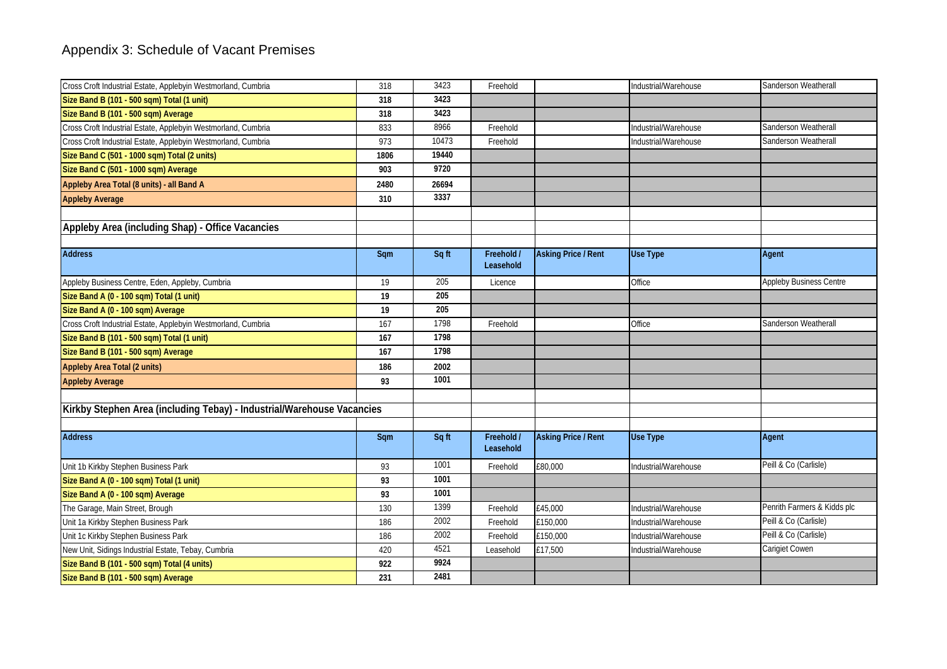| Cross Croft Industrial Estate, Applebyin Westmorland, Cumbria          | 318  | 3423  | Freehold                |                            | Industrial/Warehouse | Sanderson Weatherall           |
|------------------------------------------------------------------------|------|-------|-------------------------|----------------------------|----------------------|--------------------------------|
| Size Band B (101 - 500 sqm) Total (1 unit)                             | 318  | 3423  |                         |                            |                      |                                |
| Size Band B (101 - 500 sqm) Average                                    | 318  | 3423  |                         |                            |                      |                                |
| Cross Croft Industrial Estate, Applebyin Westmorland, Cumbria          | 833  | 8966  | Freehold                |                            | Industrial/Warehouse | Sanderson Weatherall           |
| Cross Croft Industrial Estate, Applebyin Westmorland, Cumbria          | 973  | 10473 | Freehold                |                            | Industrial/Warehouse | Sanderson Weatherall           |
| Size Band C (501 - 1000 sqm) Total (2 units)                           | 1806 | 19440 |                         |                            |                      |                                |
| Size Band C (501 - 1000 sqm) Average                                   | 903  | 9720  |                         |                            |                      |                                |
| Appleby Area Total (8 units) - all Band A                              | 2480 | 26694 |                         |                            |                      |                                |
| <b>Appleby Average</b>                                                 | 310  | 3337  |                         |                            |                      |                                |
|                                                                        |      |       |                         |                            |                      |                                |
| Appleby Area (including Shap) - Office Vacancies                       |      |       |                         |                            |                      |                                |
| <b>Address</b>                                                         | Sqm  | Sq ft | Freehold /<br>Leasehold | <b>Asking Price / Rent</b> | <b>Use Type</b>      | Agent                          |
| Appleby Business Centre, Eden, Appleby, Cumbria                        | 19   | 205   | Licence                 |                            | Office               | <b>Appleby Business Centre</b> |
| Size Band A (0 - 100 sqm) Total (1 unit)                               | 19   | 205   |                         |                            |                      |                                |
| Size Band A (0 - 100 sqm) Average                                      | 19   | 205   |                         |                            |                      |                                |
| Cross Croft Industrial Estate, Applebyin Westmorland, Cumbria          | 167  | 1798  | Freehold                |                            | Office               | Sanderson Weatherall           |
| Size Band B (101 - 500 sqm) Total (1 unit)                             | 167  | 1798  |                         |                            |                      |                                |
| Size Band B (101 - 500 sqm) Average                                    | 167  | 1798  |                         |                            |                      |                                |
| Appleby Area Total (2 units)                                           | 186  | 2002  |                         |                            |                      |                                |
| <b>Appleby Average</b>                                                 | 93   | 1001  |                         |                            |                      |                                |
|                                                                        |      |       |                         |                            |                      |                                |
| Kirkby Stephen Area (including Tebay) - Industrial/Warehouse Vacancies |      |       |                         |                            |                      |                                |
| <b>Address</b>                                                         |      |       |                         |                            |                      |                                |
|                                                                        | Sqm  | Sq ft | Freehold /<br>Leasehold | <b>Asking Price / Rent</b> | <b>Use Type</b>      | Agent                          |
| Unit 1b Kirkby Stephen Business Park                                   | 93   | 1001  | Freehold                | £80,000                    | Industrial/Warehouse | Peill & Co (Carlisle)          |
| Size Band A (0 - 100 sqm) Total (1 unit)                               | 93   | 1001  |                         |                            |                      |                                |
| Size Band A (0 - 100 sqm) Average                                      | 93   | 1001  |                         |                            |                      |                                |
| The Garage, Main Street, Brough                                        | 130  | 1399  | Freehold                | £45,000                    | Industrial/Warehouse | Penrith Farmers & Kidds plc    |
| Unit 1a Kirkby Stephen Business Park                                   | 186  | 2002  | Freehold                | £150,000                   | Industrial/Warehouse | Peill & Co (Carlisle)          |
| Unit 1c Kirkby Stephen Business Park                                   | 186  | 2002  | Freehold                | £150,000                   | Industrial/Warehouse | Peill & Co (Carlisle)          |
| New Unit, Sidings Industrial Estate, Tebay, Cumbria                    | 420  | 4521  | Leasehold               | £17,500                    | Industrial/Warehouse | Carigiet Cowen                 |
| Size Band B (101 - 500 sqm) Total (4 units)                            | 922  | 9924  |                         |                            |                      |                                |
| Size Band B (101 - 500 sqm) Average                                    | 231  | 2481  |                         |                            |                      |                                |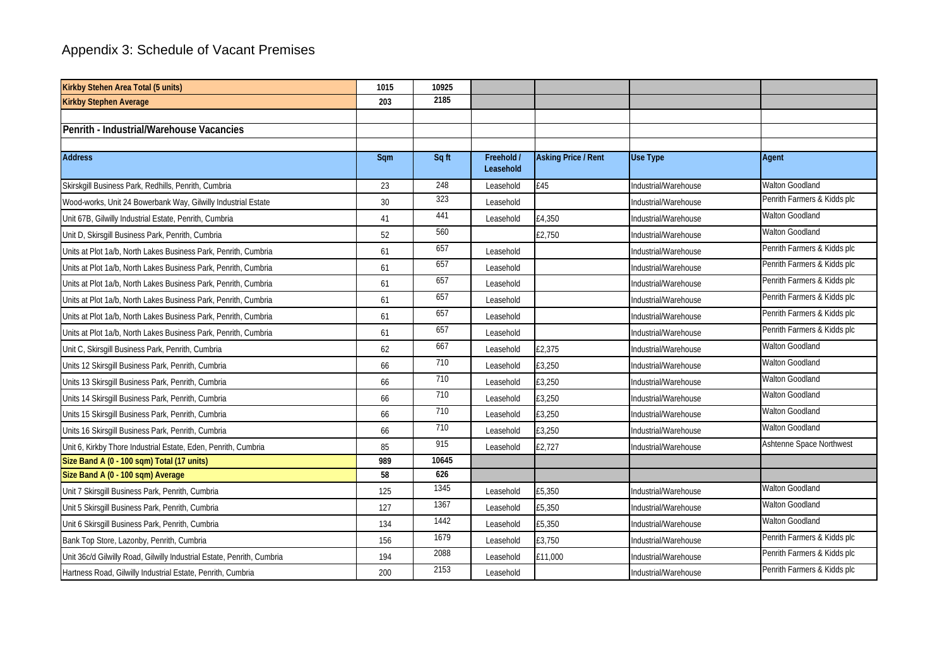| Kirkby Stehen Area Total (5 units)                                     | 1015 | 10925 |                         |                            |                      |                             |
|------------------------------------------------------------------------|------|-------|-------------------------|----------------------------|----------------------|-----------------------------|
| <b>Kirkby Stephen Average</b>                                          | 203  | 2185  |                         |                            |                      |                             |
|                                                                        |      |       |                         |                            |                      |                             |
| Penrith - Industrial/Warehouse Vacancies                               |      |       |                         |                            |                      |                             |
| <b>Address</b>                                                         | Sqm  | Sq ft | Freehold /<br>Leasehold | <b>Asking Price / Rent</b> | <b>Use Type</b>      | Agent                       |
| Skirskgill Business Park, Redhills, Penrith, Cumbria                   | 23   | 248   | Leasehold               | £45                        | Industrial/Warehouse | <b>Walton Goodland</b>      |
| Wood-works, Unit 24 Bowerbank Way, Gilwilly Industrial Estate          | 30   | 323   | Leasehold               |                            | Industrial/Warehouse | Penrith Farmers & Kidds plc |
| Unit 67B, Gilwilly Industrial Estate, Penrith, Cumbria                 | 41   | 441   | Leasehold               | £4,350                     | Industrial/Warehouse | Walton Goodland             |
| Unit D, Skirsgill Business Park, Penrith, Cumbria                      | 52   | 560   |                         | £2,750                     | Industrial/Warehouse | <b>Walton Goodland</b>      |
| Units at Plot 1a/b, North Lakes Business Park, Penrith, Cumbria        | 61   | 657   | Leasehold               |                            | Industrial/Warehouse | Penrith Farmers & Kidds plc |
| Units at Plot 1a/b, North Lakes Business Park, Penrith, Cumbria        | 61   | 657   | Leasehold               |                            | Industrial/Warehouse | Penrith Farmers & Kidds plc |
| Units at Plot 1a/b, North Lakes Business Park, Penrith, Cumbria        | 61   | 657   | Leasehold               |                            | Industrial/Warehouse | Penrith Farmers & Kidds plc |
| Units at Plot 1a/b, North Lakes Business Park, Penrith, Cumbria        | 61   | 657   | Leasehold               |                            | Industrial/Warehouse | Penrith Farmers & Kidds plc |
| Units at Plot 1a/b, North Lakes Business Park, Penrith, Cumbria        | 61   | 657   | Leasehold               |                            | Industrial/Warehouse | Penrith Farmers & Kidds plc |
| Units at Plot 1a/b, North Lakes Business Park, Penrith, Cumbria        | 61   | 657   | Leasehold               |                            | Industrial/Warehouse | Penrith Farmers & Kidds plc |
| Unit C, Skirsgill Business Park, Penrith, Cumbria                      | 62   | 667   | Leasehold               | £2,375                     | Industrial/Warehouse | <b>Walton Goodland</b>      |
| Units 12 Skirsgill Business Park, Penrith, Cumbria                     | 66   | 710   | Leasehold               | £3,250                     | Industrial/Warehouse | <b>Walton Goodland</b>      |
| Units 13 Skirsgill Business Park, Penrith, Cumbria                     | 66   | 710   | Leasehold               | £3,250                     | Industrial/Warehouse | Walton Goodland             |
| Units 14 Skirsgill Business Park, Penrith, Cumbria                     | 66   | 710   | Leasehold               | £3,250                     | Industrial/Warehouse | <b>Walton Goodland</b>      |
| Units 15 Skirsgill Business Park, Penrith, Cumbria                     | 66   | 710   | Leasehold               | £3,250                     | Industrial/Warehouse | <b>Walton Goodland</b>      |
| Units 16 Skirsgill Business Park, Penrith, Cumbria                     | 66   | 710   | Leasehold               | £3,250                     | Industrial/Warehouse | <b>Walton Goodland</b>      |
| Unit 6, Kirkby Thore Industrial Estate, Eden, Penrith, Cumbria         | 85   | 915   | Leasehold               | £2,727                     | Industrial/Warehouse | Ashtenne Space Northwest    |
| Size Band A (0 - 100 sqm) Total (17 units)                             | 989  | 10645 |                         |                            |                      |                             |
| Size Band A (0 - 100 sqm) Average                                      | 58   | 626   |                         |                            |                      |                             |
| Unit 7 Skirsgill Business Park, Penrith, Cumbria                       | 125  | 1345  | Leasehold               | £5,350                     | Industrial/Warehouse | Walton Goodland             |
| Unit 5 Skirsgill Business Park, Penrith, Cumbria                       | 127  | 1367  | Leasehold               | £5,350                     | Industrial/Warehouse | Walton Goodland             |
| Unit 6 Skirsgill Business Park, Penrith, Cumbria                       | 134  | 1442  | Leasehold               | £5,350                     | Industrial/Warehouse | <b>Walton Goodland</b>      |
| Bank Top Store, Lazonby, Penrith, Cumbria                              | 156  | 1679  | Leasehold               | £3,750                     | Industrial/Warehouse | Penrith Farmers & Kidds plc |
| Unit 36c/d Gilwilly Road, Gilwilly Industrial Estate, Penrith, Cumbria | 194  | 2088  | Leasehold               | £11,000                    | Industrial/Warehouse | Penrith Farmers & Kidds plc |
| Hartness Road, Gilwilly Industrial Estate, Penrith, Cumbria            | 200  | 2153  | Leasehold               |                            | Industrial/Warehouse | Penrith Farmers & Kidds plc |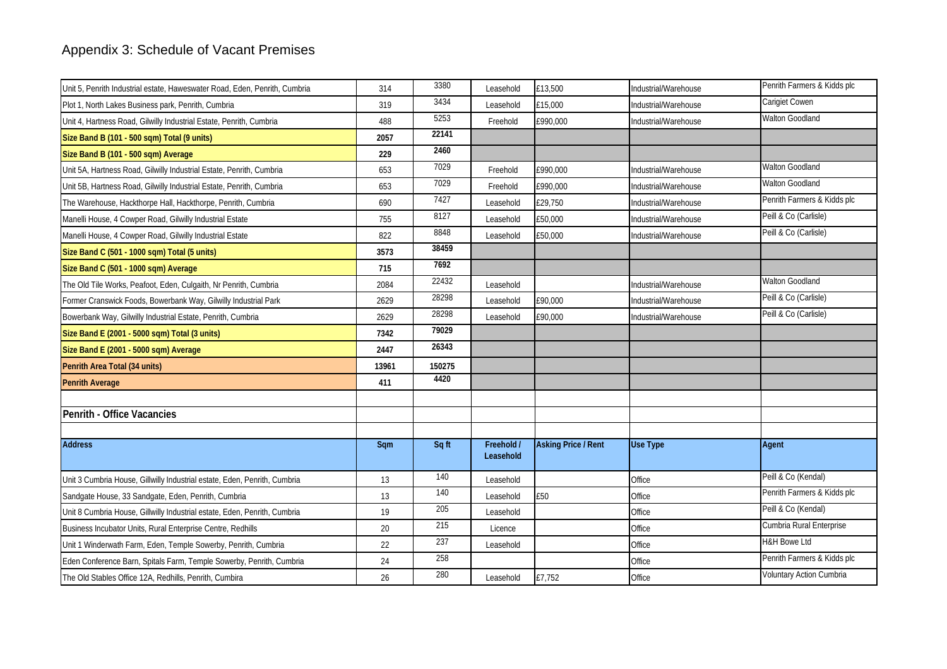| Unit 5, Penrith Industrial estate, Haweswater Road, Eden, Penrith, Cumbria | 314   | 3380   | Leasehold               | £13,500                    | Industrial/Warehouse | Penrith Farmers & Kidds plc |
|----------------------------------------------------------------------------|-------|--------|-------------------------|----------------------------|----------------------|-----------------------------|
| Plot 1, North Lakes Business park, Penrith, Cumbria                        | 319   | 3434   | Leasehold               | £15,000                    | Industrial/Warehouse | Carigiet Cowen              |
| Unit 4, Hartness Road, Gilwilly Industrial Estate, Penrith, Cumbria        | 488   | 5253   | Freehold                | £990,000                   | Industrial/Warehouse | <b>Walton Goodland</b>      |
| Size Band B (101 - 500 sqm) Total (9 units)                                | 2057  | 22141  |                         |                            |                      |                             |
| Size Band B (101 - 500 sqm) Average                                        | 229   | 2460   |                         |                            |                      |                             |
| Unit 5A, Hartness Road, Gilwilly Industrial Estate, Penrith, Cumbria       | 653   | 7029   | Freehold                | £990.000                   | Industrial/Warehouse | <b>Walton Goodland</b>      |
| Unit 5B, Hartness Road, Gilwilly Industrial Estate, Penrith, Cumbria       | 653   | 7029   | Freehold                | £990,000                   | Industrial/Warehouse | <b>Walton Goodland</b>      |
| The Warehouse, Hackthorpe Hall, Hackthorpe, Penrith, Cumbria               | 690   | 7427   | Leasehold               | £29,750                    | Industrial/Warehouse | Penrith Farmers & Kidds plc |
| Manelli House, 4 Cowper Road, Gilwilly Industrial Estate                   | 755   | 8127   | Leasehold               | £50,000                    | Industrial/Warehouse | Peill & Co (Carlisle)       |
| Manelli House, 4 Cowper Road, Gilwilly Industrial Estate                   | 822   | 8848   | Leasehold               | £50,000                    | Industrial/Warehouse | Peill & Co (Carlisle)       |
| Size Band C (501 - 1000 sqm) Total (5 units)                               | 3573  | 38459  |                         |                            |                      |                             |
| Size Band C (501 - 1000 sqm) Average                                       | 715   | 7692   |                         |                            |                      |                             |
| The Old Tile Works, Peafoot, Eden, Culgaith, Nr Penrith, Cumbria           | 2084  | 22432  | Leasehold               |                            | Industrial/Warehouse | Walton Goodland             |
| Former Cranswick Foods, Bowerbank Way, Gilwilly Industrial Park            | 2629  | 28298  | Leasehold               | £90,000                    | Industrial/Warehouse | Peill & Co (Carlisle)       |
| Bowerbank Way, Gilwilly Industrial Estate, Penrith, Cumbria                | 2629  | 28298  | Leasehold               | £90,000                    | Industrial/Warehouse | Peill & Co (Carlisle)       |
| Size Band E (2001 - 5000 sqm) Total (3 units)                              | 7342  | 79029  |                         |                            |                      |                             |
| Size Band E (2001 - 5000 sqm) Average                                      | 2447  | 26343  |                         |                            |                      |                             |
| Penrith Area Total (34 units)                                              | 13961 | 150275 |                         |                            |                      |                             |
| <b>Penrith Average</b>                                                     | 411   | 4420   |                         |                            |                      |                             |
|                                                                            |       |        |                         |                            |                      |                             |
| Penrith - Office Vacancies                                                 |       |        |                         |                            |                      |                             |
|                                                                            |       |        |                         |                            |                      |                             |
| <b>Address</b>                                                             | Sqm   | Sq ft  | Freehold /<br>Leasehold | <b>Asking Price / Rent</b> | Use Type             | Agent                       |
| Unit 3 Cumbria House, Gillwilly Industrial estate, Eden, Penrith, Cumbria  | 13    | 140    | Leasehold               |                            | Office               | Peill & Co (Kendal)         |
| Sandgate House, 33 Sandgate, Eden, Penrith, Cumbria                        | 13    | 140    | Leasehold               | £50                        | Office               | Penrith Farmers & Kidds plc |
| Unit 8 Cumbria House, Gillwilly Industrial estate, Eden, Penrith, Cumbria  | 19    | 205    | Leasehold               |                            | Office               | Peill & Co (Kendal)         |
| Business Incubator Units, Rural Enterprise Centre, Redhills                | 20    | 215    | Licence                 |                            | Office               | Cumbria Rural Enterprise    |
| Unit 1 Winderwath Farm, Eden, Temple Sowerby, Penrith, Cumbria             | 22    | 237    | Leasehold               |                            | Office               | <b>H&amp;H Bowe Ltd</b>     |
| Eden Conference Barn, Spitals Farm, Temple Sowerby, Penrith, Cumbria       | 24    | 258    |                         |                            | Office               | Penrith Farmers & Kidds plc |
| The Old Stables Office 12A, Redhills, Penrith, Cumbira                     | 26    | 280    | Leasehold               | £7,752                     | Office               | Voluntary Action Cumbria    |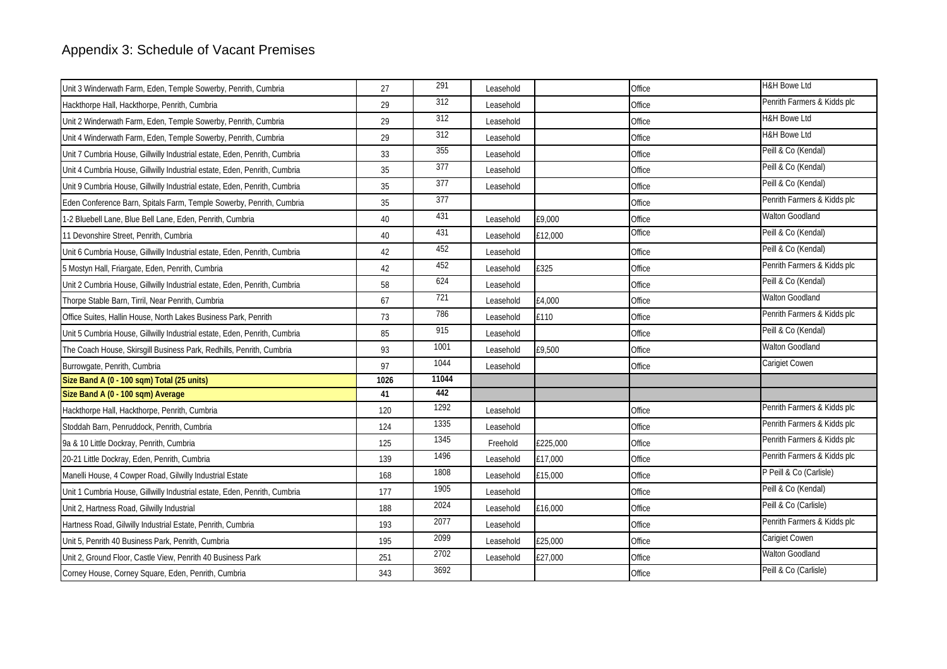| Unit 3 Winderwath Farm, Eden, Temple Sowerby, Penrith, Cumbria            | 27   | 291   | Leasehold |          | Office | <b>H&amp;H Bowe Ltd</b>     |
|---------------------------------------------------------------------------|------|-------|-----------|----------|--------|-----------------------------|
| Hackthorpe Hall, Hackthorpe, Penrith, Cumbria                             | 29   | 312   | Leasehold |          | Office | Penrith Farmers & Kidds plc |
| Unit 2 Winderwath Farm, Eden, Temple Sowerby, Penrith, Cumbria            | 29   | 312   | Leasehold |          | Office | <b>H&amp;H Bowe Ltd</b>     |
| Unit 4 Winderwath Farm, Eden, Temple Sowerby, Penrith, Cumbria            | 29   | 312   | Leasehold |          | Office | <b>H&amp;H Bowe Ltd</b>     |
| Unit 7 Cumbria House, Gillwilly Industrial estate, Eden, Penrith, Cumbria | 33   | 355   | Leasehold |          | Office | Peill & Co (Kendal)         |
| Unit 4 Cumbria House, Gillwilly Industrial estate, Eden, Penrith, Cumbria | 35   | 377   | Leasehold |          | Office | Peill & Co (Kendal)         |
| Unit 9 Cumbria House, Gillwilly Industrial estate, Eden, Penrith, Cumbria | 35   | 377   | Leasehold |          | Office | Peill & Co (Kendal)         |
| Eden Conference Barn, Spitals Farm, Temple Sowerby, Penrith, Cumbria      | 35   | 377   |           |          | Office | Penrith Farmers & Kidds plc |
| 1-2 Bluebell Lane, Blue Bell Lane, Eden, Penrith, Cumbria                 | 40   | 431   | Leasehold | £9,000   | Office | <b>Walton Goodland</b>      |
| 11 Devonshire Street, Penrith, Cumbria                                    | 40   | 431   | Leasehold | £12,000  | Office | Peill & Co (Kendal)         |
| Unit 6 Cumbria House, Gillwilly Industrial estate, Eden, Penrith, Cumbria | 42   | 452   | Leasehold |          | Office | Peill & Co (Kendal)         |
| 5 Mostyn Hall, Friargate, Eden, Penrith, Cumbria                          | 42   | 452   | Leasehold | £325     | Office | Penrith Farmers & Kidds plc |
| Unit 2 Cumbria House, Gillwilly Industrial estate, Eden, Penrith, Cumbria | 58   | 624   | Leasehold |          | Office | Peill & Co (Kendal)         |
| Thorpe Stable Barn, Tirril, Near Penrith, Cumbria                         | 67   | 721   | Leasehold | £4,000   | Office | <b>Walton Goodland</b>      |
| Office Suites, Hallin House, North Lakes Business Park, Penrith           | 73   | 786   | Leasehold | £110     | Office | Penrith Farmers & Kidds plc |
| Unit 5 Cumbria House, Gillwilly Industrial estate, Eden, Penrith, Cumbria | 85   | 915   | Leasehold |          | Office | Peill & Co (Kendal)         |
| The Coach House, Skirsgill Business Park, Redhills, Penrith, Cumbria      | 93   | 1001  | Leasehold | £9,500   | Office | <b>Walton Goodland</b>      |
| Burrowgate, Penrith, Cumbria                                              | 97   | 1044  | Leasehold |          | Office | Carigiet Cowen              |
| Size Band A (0 - 100 sqm) Total (25 units)                                | 1026 | 11044 |           |          |        |                             |
| Size Band A (0 - 100 sqm) Average                                         | 41   | 442   |           |          |        |                             |
| Hackthorpe Hall, Hackthorpe, Penrith, Cumbria                             | 120  | 1292  | Leasehold |          | Office | Penrith Farmers & Kidds plc |
| Stoddah Barn, Penruddock, Penrith, Cumbria                                | 124  | 1335  | Leasehold |          | Office | Penrith Farmers & Kidds plc |
| 9a & 10 Little Dockray, Penrith, Cumbria                                  | 125  | 1345  | Freehold  | £225,000 | Office | Penrith Farmers & Kidds plc |
| 20-21 Little Dockray, Eden, Penrith, Cumbria                              | 139  | 1496  | Leasehold | £17,000  | Office | Penrith Farmers & Kidds plc |
| Manelli House, 4 Cowper Road, Gilwilly Industrial Estate                  | 168  | 1808  | Leasehold | £15,000  | Office | P Peill & Co (Carlisle)     |
| Unit 1 Cumbria House, Gillwilly Industrial estate, Eden, Penrith, Cumbria | 177  | 1905  | Leasehold |          | Office | Peill & Co (Kendal)         |
| Unit 2, Hartness Road, Gilwilly Industrial                                | 188  | 2024  | Leasehold | £16,000  | Office | Peill & Co (Carlisle)       |
| Hartness Road, Gilwilly Industrial Estate, Penrith, Cumbria               | 193  | 2077  | Leasehold |          | Office | Penrith Farmers & Kidds plc |
| Unit 5, Penrith 40 Business Park, Penrith, Cumbria                        | 195  | 2099  | Leasehold | £25,000  | Office | Carigiet Cowen              |
| Unit 2, Ground Floor, Castle View, Penrith 40 Business Park               | 251  | 2702  | Leasehold | £27,000  | Office | <b>Walton Goodland</b>      |
| Corney House, Corney Square, Eden, Penrith, Cumbria                       | 343  | 3692  |           |          | Office | Peill & Co (Carlisle)       |